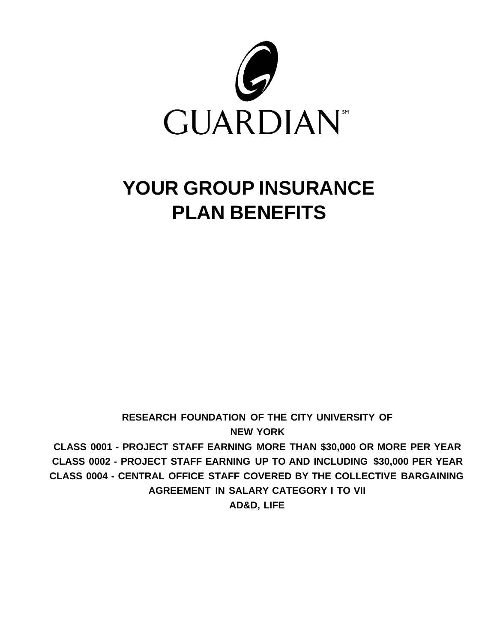

# **YOUR GROUP INSURANCE PLAN BENEFITS**

**RESEARCH FOUNDATION OF THE CITY UNIVERSITY OF NEW YORK CLASS 0001 - PROJECT STAFF EARNING MORE THAN \$30,000 OR MORE PER YEAR CLASS 0002 - PROJECT STAFF EARNING UP TO AND INCLUDING \$30,000 PER YEAR CLASS 0004 - CENTRAL OFFICE STAFF COVERED BY THE COLLECTIVE BARGAINING AGREEMENT IN SALARY CATEGORY I TO VII AD&D, LIFE**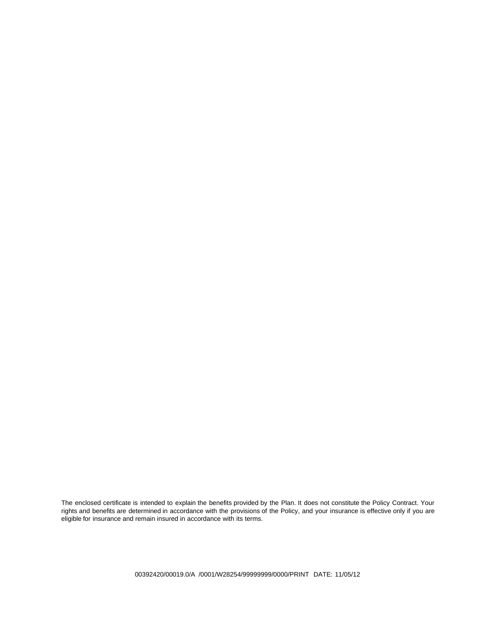The enclosed certificate is intended to explain the benefits provided by the Plan. It does not constitute the Policy Contract. Your rights and benefits are determined in accordance with the provisions of the Policy, and your insurance is effective only if you are eligible for insurance and remain insured in accordance with its terms.

00392420/00019.0/A /0001/W28254/99999999/0000/PRINT DATE: 11/05/12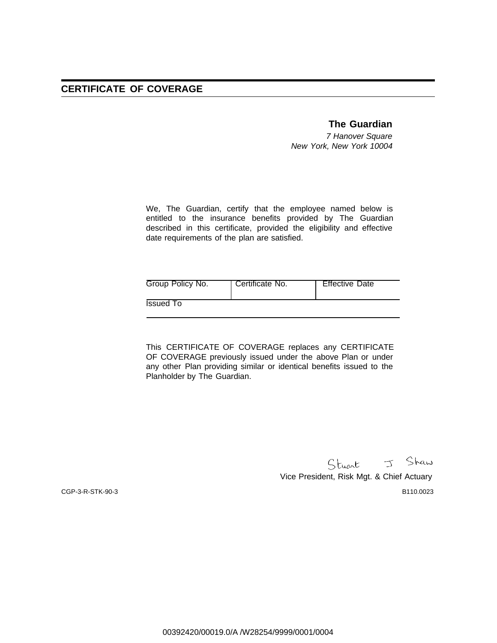#### **The Guardian**

7 Hanover Square New York, New York 10004

We, The Guardian, certify that the employee named below is entitled to the insurance benefits provided by The Guardian described in this certificate, provided the eligibility and effective date requirements of the plan are satisfied.

| Group Policy No. | Certificate No. | <b>Effective Date</b> |
|------------------|-----------------|-----------------------|
| Issued To        |                 |                       |

This CERTIFICATE OF COVERAGE replaces any CERTIFICATE OF COVERAGE previously issued under the above Plan or under any other Plan providing similar or identical benefits issued to the Planholder by The Guardian.

> Stuart J Shaw Vice President, Risk Mgt. & Chief Actuary

CGP-3-R-STK-90-3 B110.0023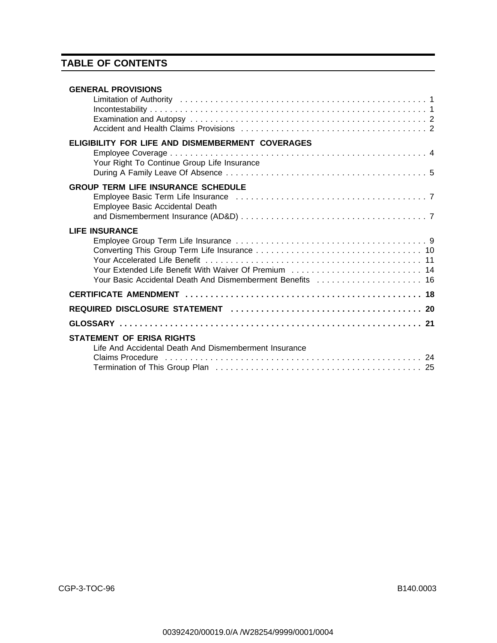# **TABLE OF CONTENTS**

| <b>GENERAL PROVISIONS</b><br>Limitation of Authority (and account of the contract of the contract of the contract of the contract of the co  |
|----------------------------------------------------------------------------------------------------------------------------------------------|
| ELIGIBILITY FOR LIFE AND DISMEMBERMENT COVERAGES                                                                                             |
| Your Right To Continue Group Life Insurance                                                                                                  |
| <b>GROUP TERM LIFE INSURANCE SCHEDULE</b><br>Employee Basic Accidental Death                                                                 |
| <b>LIFE INSURANCE</b><br>Your Extended Life Benefit With Waiver Of Premium  14<br>Your Basic Accidental Death And Dismemberment Benefits  16 |
|                                                                                                                                              |
|                                                                                                                                              |
|                                                                                                                                              |
| <b>STATEMENT OF ERISA RIGHTS</b><br>Life And Accidental Death And Dismemberment Insurance                                                    |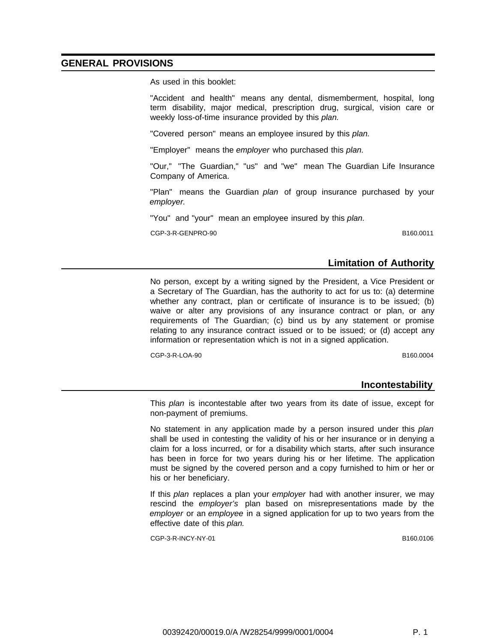#### **GENERAL PROVISIONS**

As used in this booklet:

"Accident and health" means any dental, dismemberment, hospital, long term disability, major medical, prescription drug, surgical, vision care or weekly loss-of-time insurance provided by this plan.

"Covered person" means an employee insured by this plan.

"Employer" means the employer who purchased this plan.

"Our," "The Guardian," "us" and "we" mean The Guardian Life Insurance Company of America.

"Plan" means the Guardian plan of group insurance purchased by your employer.

"You" and "your" mean an employee insured by this plan.

CGP-3-R-GENPRO-90 B160.0011

#### **Limitation of Authority**

No person, except by a writing signed by the President, a Vice President or a Secretary of The Guardian, has the authority to act for us to: (a) determine whether any contract, plan or certificate of insurance is to be issued; (b) waive or alter any provisions of any insurance contract or plan, or any requirements of The Guardian; (c) bind us by any statement or promise relating to any insurance contract issued or to be issued; or (d) accept any information or representation which is not in a signed application.

CGP-3-R-LOA-90 B160.0004

#### **Incontestability**

This *plan* is incontestable after two years from its date of issue, except for non-payment of premiums.

No statement in any application made by a person insured under this plan shall be used in contesting the validity of his or her insurance or in denying a claim for a loss incurred, or for a disability which starts, after such insurance has been in force for two years during his or her lifetime. The application must be signed by the covered person and a copy furnished to him or her or his or her beneficiary.

If this plan replaces a plan your employer had with another insurer, we may rescind the employer's plan based on misrepresentations made by the employer or an employee in a signed application for up to two years from the effective date of this plan.

CGP-3-R-INCY-NY-01 B160.0106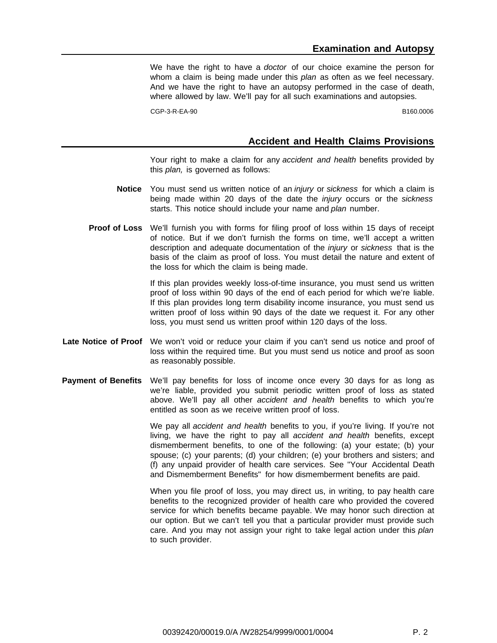We have the right to have a doctor of our choice examine the person for whom a claim is being made under this *plan* as often as we feel necessary. And we have the right to have an autopsy performed in the case of death, where allowed by law. We'll pay for all such examinations and autopsies.

CGP-3-R-EA-90 B160.0006

#### **Accident and Health Claims Provisions**

Your right to make a claim for any accident and health benefits provided by this plan, is governed as follows:

- **Notice** You must send us written notice of an injury or sickness for which a claim is being made within 20 days of the date the *injury* occurs or the sickness starts. This notice should include your name and plan number.
- **Proof of Loss** We'll furnish you with forms for filing proof of loss within 15 days of receipt of notice. But if we don't furnish the forms on time, we'll accept a written description and adequate documentation of the *injury* or *sickness* that is the basis of the claim as proof of loss. You must detail the nature and extent of the loss for which the claim is being made.

If this plan provides weekly loss-of-time insurance, you must send us written proof of loss within 90 days of the end of each period for which we're liable. If this plan provides long term disability income insurance, you must send us written proof of loss within 90 days of the date we request it. For any other loss, you must send us written proof within 120 days of the loss.

- **Late Notice of Proof** We won't void or reduce your claim if you can't send us notice and proof of loss within the required time. But you must send us notice and proof as soon as reasonably possible.
- **Payment of Benefits** We'll pay benefits for loss of income once every 30 days for as long as we're liable, provided you submit periodic written proof of loss as stated above. We'll pay all other *accident and health* benefits to which you're entitled as soon as we receive written proof of loss.

We pay all *accident and health* benefits to you, if you're living. If you're not living, we have the right to pay all accident and health benefits, except dismemberment benefits, to one of the following: (a) your estate; (b) your spouse; (c) your parents; (d) your children; (e) your brothers and sisters; and (f) any unpaid provider of health care services. See "Your Accidental Death and Dismemberment Benefits" for how dismemberment benefits are paid.

When you file proof of loss, you may direct us, in writing, to pay health care benefits to the recognized provider of health care who provided the covered service for which benefits became payable. We may honor such direction at our option. But we can't tell you that a particular provider must provide such care. And you may not assign your right to take legal action under this plan to such provider.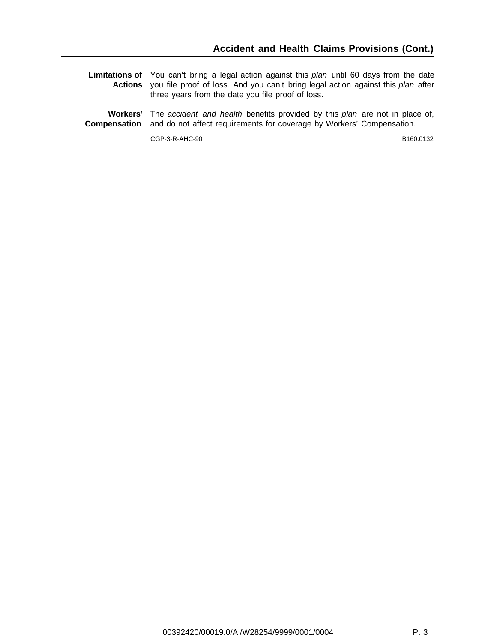- **Limitations of** You can't bring a legal action against this plan until 60 days from the date **Actions** you file proof of loss. And you can't bring legal action against this plan after three years from the date you file proof of loss.
- **Workers'** The accident and health benefits provided by this plan are not in place of, **Compensation** and do not affect requirements for coverage by Workers' Compensation.

CGP-3-R-AHC-90 B160.0132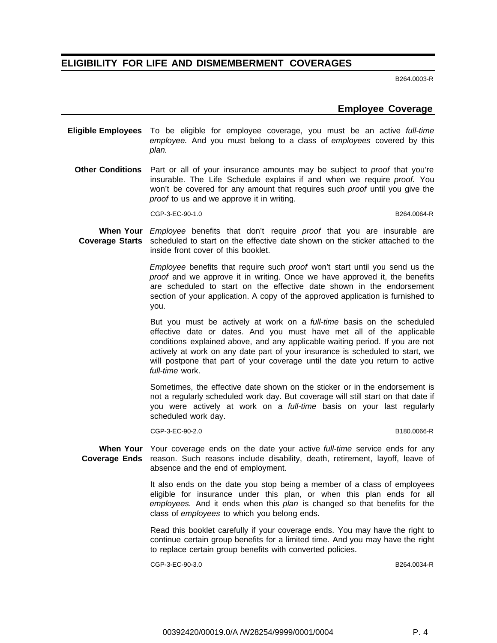# **ELIGIBILITY FOR LIFE AND DISMEMBERMENT COVERAGES**

B264.0003-R

#### **Employee Coverage**

- **Eligible Employees** To be eligible for employee coverage, you must be an active full-time employee. And you must belong to a class of employees covered by this plan.
	- **Other Conditions** Part or all of your insurance amounts may be subject to proof that you're insurable. The Life Schedule explains if and when we require proof. You won't be covered for any amount that requires such *proof* until you give the proof to us and we approve it in writing.

CGP-3-EC-90-1.0 B264.0064-R

**When Your** Employee benefits that don't require proof that you are insurable are **Coverage Starts** scheduled to start on the effective date shown on the sticker attached to the inside front cover of this booklet.

> Employee benefits that require such proof won't start until you send us the proof and we approve it in writing. Once we have approved it, the benefits are scheduled to start on the effective date shown in the endorsement section of your application. A copy of the approved application is furnished to you.

> But you must be actively at work on a full-time basis on the scheduled effective date or dates. And you must have met all of the applicable conditions explained above, and any applicable waiting period. If you are not actively at work on any date part of your insurance is scheduled to start, we will postpone that part of your coverage until the date you return to active full-time work.

> Sometimes, the effective date shown on the sticker or in the endorsement is not a regularly scheduled work day. But coverage will still start on that date if you were actively at work on a full-time basis on your last regularly scheduled work day.

> CGP-3-EC-90-2.0 B180.0066-R

When Your Your coverage ends on the date your active *full-time* service ends for any Coverage Ends reason. Such reasons include disability, death, retirement, layoff, leave of absence and the end of employment.

> It also ends on the date you stop being a member of a class of employees eligible for insurance under this plan, or when this plan ends for all employees. And it ends when this plan is changed so that benefits for the class of employees to which you belong ends.

> Read this booklet carefully if your coverage ends. You may have the right to continue certain group benefits for a limited time. And you may have the right to replace certain group benefits with converted policies.

> CGP-3-EC-90-3.0 B264.0034-R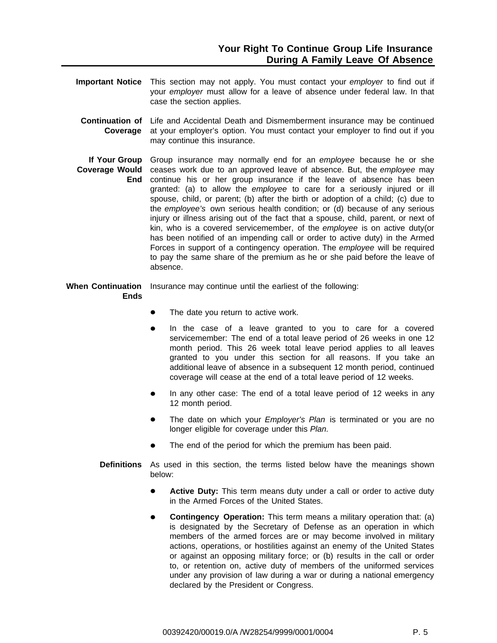- **Important Notice** This section may not apply. You must contact your employer to find out if your employer must allow for a leave of absence under federal law. In that case the section applies.
- **Continuation of** Life and Accidental Death and Dismemberment insurance may be continued **Coverage** at your employer's option. You must contact your employer to find out if you may continue this insurance.
- **If Your Group** Group insurance may normally end for an employee because he or she **Coverage Would** ceases work due to an approved leave of absence. But, the employee may **End** continue his or her group insurance if the leave of absence has been granted: (a) to allow the employee to care for a seriously injured or ill spouse, child, or parent; (b) after the birth or adoption of a child; (c) due to the employee's own serious health condition; or (d) because of any serious injury or illness arising out of the fact that a spouse, child, parent, or next of kin, who is a covered servicemember, of the employee is on active duty(or has been notified of an impending call or order to active duty) in the Armed Forces in support of a contingency operation. The employee will be required to pay the same share of the premium as he or she paid before the leave of absence.
- When Continuation Insurance may continue until the earliest of the following: **Ends**
	- The date you return to active work.
	- In the case of a leave granted to you to care for a covered servicemember: The end of a total leave period of 26 weeks in one 12 month period. This 26 week total leave period applies to all leaves granted to you under this section for all reasons. If you take an additional leave of absence in a subsequent 12 month period, continued coverage will cease at the end of a total leave period of 12 weeks.
	- In any other case: The end of a total leave period of 12 weeks in any  $\bullet$ 12 month period.
	- The date on which your *Employer's Plan* is terminated or you are no longer eligible for coverage under this Plan.
	- The end of the period for which the premium has been paid.
	- **Definitions** As used in this section, the terms listed below have the meanings shown below:
		- **Active Duty:** This term means duty under a call or order to active duty in the Armed Forces of the United States.
		- **Contingency Operation:** This term means a military operation that: (a) is designated by the Secretary of Defense as an operation in which members of the armed forces are or may become involved in military actions, operations, or hostilities against an enemy of the United States or against an opposing military force; or (b) results in the call or order to, or retention on, active duty of members of the uniformed services under any provision of law during a war or during a national emergency declared by the President or Congress.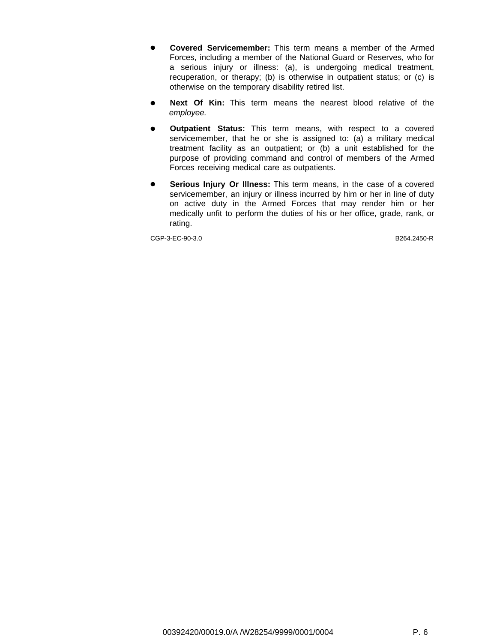- **Covered Servicemember:** This term means a member of the Armed Forces, including a member of the National Guard or Reserves, who for a serious injury or illness: (a), is undergoing medical treatment, recuperation, or therapy; (b) is otherwise in outpatient status; or (c) is otherwise on the temporary disability retired list.
- **Next Of Kin:** This term means the nearest blood relative of the  $\bullet$ employee.
- **Outpatient Status:** This term means, with respect to a covered  $\bullet$ servicemember, that he or she is assigned to: (a) a military medical treatment facility as an outpatient; or (b) a unit established for the purpose of providing command and control of members of the Armed Forces receiving medical care as outpatients.
- **Serious Injury Or Illness:** This term means, in the case of a covered  $\bullet$ servicemember, an injury or illness incurred by him or her in line of duty on active duty in the Armed Forces that may render him or her medically unfit to perform the duties of his or her office, grade, rank, or rating.

CGP-3-EC-90-3.0 B264.2450-R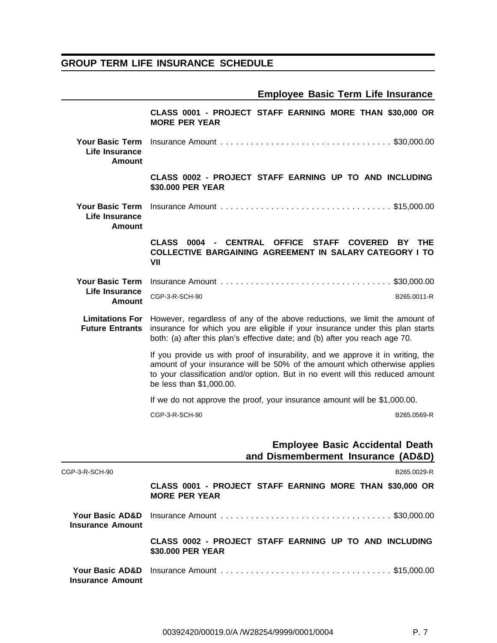# **GROUP TERM LIFE INSURANCE SCHEDULE**

|  |  |  |  |  | <b>Employee Basic Term Life Insurance</b> |
|--|--|--|--|--|-------------------------------------------|
|--|--|--|--|--|-------------------------------------------|

|                                                           | CLASS 0001 - PROJECT STAFF EARNING MORE THAN \$30,000 OR<br><b>MORE PER YEAR</b>                                                                                                                                                                                            |  |  |  |
|-----------------------------------------------------------|-----------------------------------------------------------------------------------------------------------------------------------------------------------------------------------------------------------------------------------------------------------------------------|--|--|--|
| <b>Your Basic Term</b><br>Life Insurance<br><b>Amount</b> |                                                                                                                                                                                                                                                                             |  |  |  |
|                                                           | CLASS 0002 - PROJECT STAFF EARNING UP TO AND INCLUDING<br>\$30.000 PER YEAR                                                                                                                                                                                                 |  |  |  |
| <b>Your Basic Term</b><br>Life Insurance<br>Amount        |                                                                                                                                                                                                                                                                             |  |  |  |
|                                                           | 0004 - CENTRAL OFFICE<br><b>STAFF</b><br>CLASS<br><b>COVERED</b><br>BY<br>THE<br><b>COLLECTIVE BARGAINING AGREEMENT IN SALARY CATEGORY I TO</b><br>VII                                                                                                                      |  |  |  |
| <b>Your Basic Term</b>                                    |                                                                                                                                                                                                                                                                             |  |  |  |
| Life Insurance<br>Amount                                  | CGP-3-R-SCH-90<br>B265.0011-R                                                                                                                                                                                                                                               |  |  |  |
| <b>Limitations For</b><br><b>Future Entrants</b>          | However, regardless of any of the above reductions, we limit the amount of<br>insurance for which you are eligible if your insurance under this plan starts<br>both: (a) after this plan's effective date; and (b) after you reach age 70.                                  |  |  |  |
|                                                           | If you provide us with proof of insurability, and we approve it in writing, the<br>amount of your insurance will be 50% of the amount which otherwise applies<br>to your classification and/or option. But in no event will this reduced amount<br>be less than \$1,000.00. |  |  |  |
|                                                           | If we do not approve the proof, your insurance amount will be \$1,000.00.                                                                                                                                                                                                   |  |  |  |
|                                                           | CGP-3-R-SCH-90<br>B265.0569-R                                                                                                                                                                                                                                               |  |  |  |
|                                                           | <b>Employee Basic Accidental Death</b><br>and Dismemberment Insurance (AD&D)                                                                                                                                                                                                |  |  |  |
| CGP-3-R-SCH-90                                            | B265.0029-R                                                                                                                                                                                                                                                                 |  |  |  |
|                                                           | CLASS 0001 - PROJECT STAFF EARNING MORE THAN \$30,000 OR<br><b>MORE PER YEAR</b>                                                                                                                                                                                            |  |  |  |
| Your Basic AD&D<br><b>Insurance Amount</b>                |                                                                                                                                                                                                                                                                             |  |  |  |
|                                                           | CLASS 0002 - PROJECT STAFF EARNING UP TO AND INCLUDING<br>\$30.000 PER YEAR                                                                                                                                                                                                 |  |  |  |
| <b>Insurance Amount</b>                                   |                                                                                                                                                                                                                                                                             |  |  |  |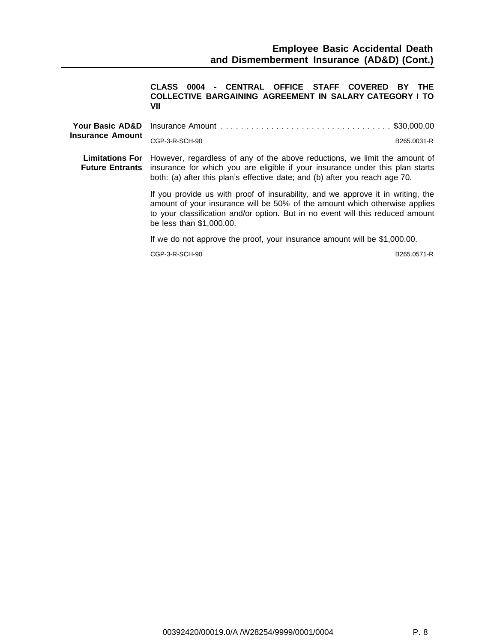**CLASS 0004 - CENTRAL OFFICE STAFF COVERED BY THE COLLECTIVE BARGAINING AGREEMENT IN SALARY CATEGORY I TO VII**

| <b>Insurance Amount</b> | CGP-3-R-SCH-90                                                                                                                                                                                                                                                                           | B265.0031-R |
|-------------------------|------------------------------------------------------------------------------------------------------------------------------------------------------------------------------------------------------------------------------------------------------------------------------------------|-------------|
|                         | <b>Limitations For</b> However, regardless of any of the above reductions, we limit the amount of<br><b>Future Entrants</b> insurance for which you are eligible if your insurance under this plan starts<br>both: (a) after this plan's effective date; and (b) after you reach age 70. |             |
|                         | If you provide us with proof of insurability, and we approve it in writing, the<br>amount of your insurance will be 50% of the amount which otherwise applies<br>to your classification and/or option. But in no event will this reduced amount<br>be less than \$1,000.00.              |             |
|                         | If we do not approve the proof, your insurance amount will be \$1,000.00.                                                                                                                                                                                                                |             |
|                         | CGP-3-R-SCH-90                                                                                                                                                                                                                                                                           | B265.0571-R |
|                         |                                                                                                                                                                                                                                                                                          |             |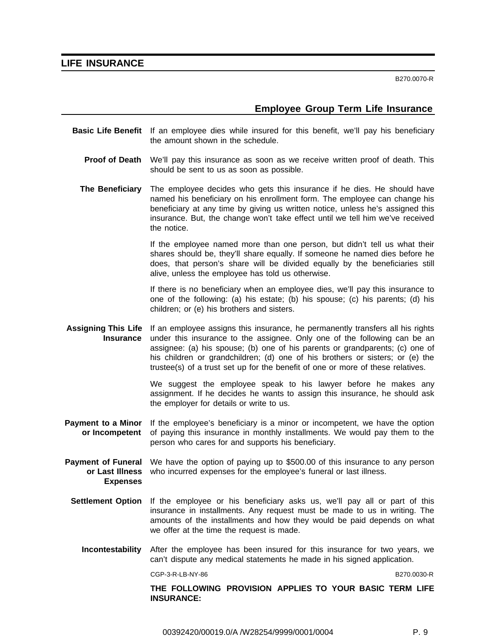#### **LIFE INSURANCE**

B270.0070-R

### **Employee Group Term Life Insurance**

- **Basic Life Benefit** If an employee dies while insured for this benefit, we'll pay his beneficiary the amount shown in the schedule.
	- **Proof of Death** We'll pay this insurance as soon as we receive written proof of death. This should be sent to us as soon as possible.
	- **The Beneficiary** The employee decides who gets this insurance if he dies. He should have named his beneficiary on his enrollment form. The employee can change his beneficiary at any time by giving us written notice, unless he's assigned this insurance. But, the change won't take effect until we tell him we've received the notice.

If the employee named more than one person, but didn't tell us what their shares should be, they'll share equally. If someone he named dies before he does, that person's share will be divided equally by the beneficiaries still alive, unless the employee has told us otherwise.

If there is no beneficiary when an employee dies, we'll pay this insurance to one of the following: (a) his estate; (b) his spouse; (c) his parents; (d) his children; or (e) his brothers and sisters.

**Assigning This Life Insurance** If an employee assigns this insurance, he permanently transfers all his rights under this insurance to the assignee. Only one of the following can be an assignee: (a) his spouse; (b) one of his parents or grandparents; (c) one of his children or grandchildren; (d) one of his brothers or sisters; or (e) the trustee(s) of a trust set up for the benefit of one or more of these relatives.

> We suggest the employee speak to his lawyer before he makes any assignment. If he decides he wants to assign this insurance, he should ask the employer for details or write to us.

- **Payment to a Minor or Incompetent** If the employee's beneficiary is a minor or incompetent, we have the option of paying this insurance in monthly installments. We would pay them to the person who cares for and supports his beneficiary.
- **Payment of Funeral** We have the option of paying up to \$500.00 of this insurance to any person **or Last Illness** who incurred expenses for the employee's funeral or last illness. **Expenses**
	- **Settlement Option** If the employee or his beneficiary asks us, we'll pay all or part of this insurance in installments. Any request must be made to us in writing. The amounts of the installments and how they would be paid depends on what we offer at the time the request is made.
		- **Incontestability** After the employee has been insured for this insurance for two years, we can't dispute any medical statements he made in his signed application.

CGP-3-R-LB-NY-86 B270.0030-R

**THE FOLLOWING PROVISION APPLIES TO YOUR BASIC TERM LIFE INSURANCE:**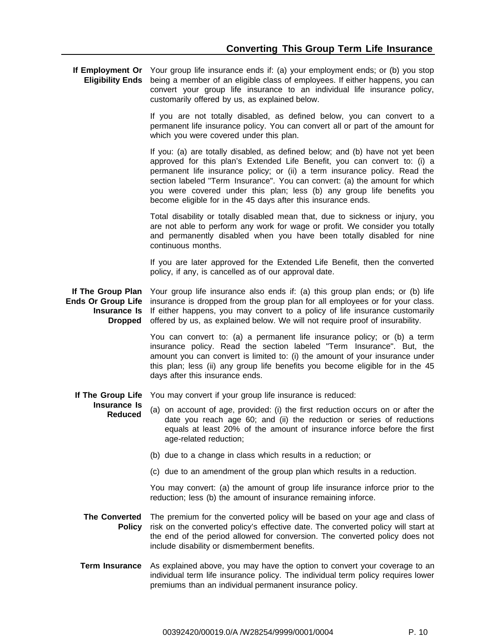**If Employment Or** Your group life insurance ends if: (a) your employment ends; or (b) you stop **Eligibility Ends** being a member of an eligible class of employees. If either happens, you can convert your group life insurance to an individual life insurance policy, customarily offered by us, as explained below.

> If you are not totally disabled, as defined below, you can convert to a permanent life insurance policy. You can convert all or part of the amount for which you were covered under this plan.

> If you: (a) are totally disabled, as defined below; and (b) have not yet been approved for this plan's Extended Life Benefit, you can convert to: (i) a permanent life insurance policy; or (ii) a term insurance policy. Read the section labeled "Term Insurance". You can convert: (a) the amount for which you were covered under this plan; less (b) any group life benefits you become eligible for in the 45 days after this insurance ends.

> Total disability or totally disabled mean that, due to sickness or injury, you are not able to perform any work for wage or profit. We consider you totally and permanently disabled when you have been totally disabled for nine continuous months.

> If you are later approved for the Extended Life Benefit, then the converted policy, if any, is cancelled as of our approval date.

**If The Group Plan** Your group life insurance also ends if: (a) this group plan ends; or (b) life **Ends Or Group Life** insurance is dropped from the group plan for all employees or for your class. **Insurance Is** If either happens, you may convert to a policy of life insurance customarily **Dropped** offered by us, as explained below. We will not require proof of insurability.

> You can convert to: (a) a permanent life insurance policy; or (b) a term insurance policy. Read the section labeled "Term Insurance". But, the amount you can convert is limited to: (i) the amount of your insurance under this plan; less (ii) any group life benefits you become eligible for in the 45 days after this insurance ends.

**If The Group Life** You may convert if your group life insurance is reduced:

#### **Insurance Is Reduced**

(a) on account of age, provided: (i) the first reduction occurs on or after the date you reach age 60; and (ii) the reduction or series of reductions equals at least 20% of the amount of insurance inforce before the first age-related reduction;

- (b) due to a change in class which results in a reduction; or
- (c) due to an amendment of the group plan which results in a reduction.

You may convert: (a) the amount of group life insurance inforce prior to the reduction; less (b) the amount of insurance remaining inforce.

- **The Converted** The premium for the converted policy will be based on your age and class of **Policy** risk on the converted policy's effective date. The converted policy will start at the end of the period allowed for conversion. The converted policy does not include disability or dismemberment benefits.
- **Term Insurance** As explained above, you may have the option to convert your coverage to an individual term life insurance policy. The individual term policy requires lower premiums than an individual permanent insurance policy.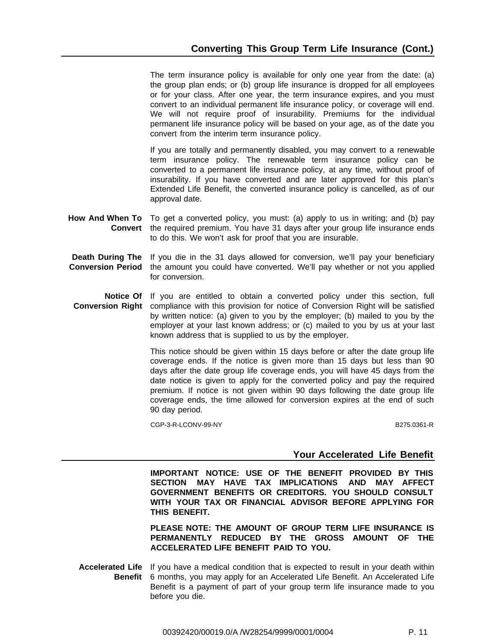The term insurance policy is available for only one year from the date: (a) the group plan ends; or (b) group life insurance is dropped for all employees or for your class. After one year, the term insurance expires, and you must convert to an individual permanent life insurance policy, or coverage will end. We will not require proof of insurability. Premiums for the individual permanent life insurance policy will be based on your age, as of the date you convert from the interim term insurance policy.

If you are totally and permanently disabled, you may convert to a renewable term insurance policy. The renewable term insurance policy can be converted to a permanent life insurance policy, at any time, without proof of insurability. If you have converted and are later approved for this plan's Extended Life Benefit, the converted insurance policy is cancelled, as of our approval date.

- **How And When To** To get a converted policy, you must: (a) apply to us in writing; and (b) pay **Convert** the required premium. You have 31 days after your group life insurance ends to do this. We won't ask for proof that you are insurable.
- **Death During The Conversion Period** the amount you could have converted. We'll pay whether or not you applied If you die in the 31 days allowed for conversion, we'll pay your beneficiary for conversion.
- **Notice Of** If you are entitled to obtain a converted policy under this section, full **Conversion Right** compliance with this provision for notice of Conversion Right will be satisfied by written notice: (a) given to you by the employer; (b) mailed to you by the employer at your last known address; or (c) mailed to you by us at your last known address that is supplied to us by the employer.

This notice should be given within 15 days before or after the date group life coverage ends. If the notice is given more than 15 days but less than 90 days after the date group life coverage ends, you will have 45 days from the date notice is given to apply for the converted policy and pay the required premium. If notice is not given within 90 days following the date group life coverage ends, the time allowed for conversion expires at the end of such 90 day period.

CGP-3-R-LCONV-99-NY B275.0361-R

# **Your Accelerated Life Benefit**

**IMPORTANT NOTICE: USE OF THE BENEFIT PROVIDED BY THIS SECTION MAY HAVE TAX IMPLICATIONS AND MAY AFFECT GOVERNMENT BENEFITS OR CREDITORS. YOU SHOULD CONSULT WITH YOUR TAX OR FINANCIAL ADVISOR BEFORE APPLYING FOR THIS BENEFIT.**

**PLEASE NOTE: THE AMOUNT OF GROUP TERM LIFE INSURANCE IS PERMANENTLY REDUCED BY THE GROSS AMOUNT OF THE ACCELERATED LIFE BENEFIT PAID TO YOU.**

**Accelerated Life** If you have a medical condition that is expected to result in your death within **Benefit** 6 months, you may apply for an Accelerated Life Benefit. An Accelerated Life Benefit is a payment of part of your group term life insurance made to you before you die.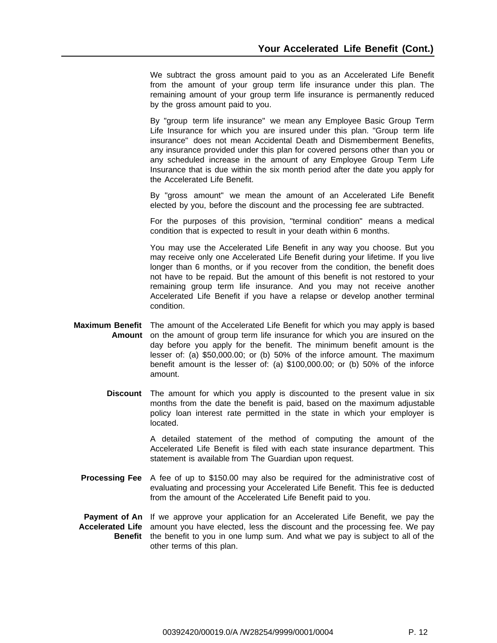We subtract the gross amount paid to you as an Accelerated Life Benefit from the amount of your group term life insurance under this plan. The remaining amount of your group term life insurance is permanently reduced by the gross amount paid to you.

By "group term life insurance" we mean any Employee Basic Group Term Life Insurance for which you are insured under this plan. "Group term life insurance" does not mean Accidental Death and Dismemberment Benefits, any insurance provided under this plan for covered persons other than you or any scheduled increase in the amount of any Employee Group Term Life Insurance that is due within the six month period after the date you apply for the Accelerated Life Benefit.

By "gross amount" we mean the amount of an Accelerated Life Benefit elected by you, before the discount and the processing fee are subtracted.

For the purposes of this provision, "terminal condition" means a medical condition that is expected to result in your death within 6 months.

You may use the Accelerated Life Benefit in any way you choose. But you may receive only one Accelerated Life Benefit during your lifetime. If you live longer than 6 months, or if you recover from the condition, the benefit does not have to be repaid. But the amount of this benefit is not restored to your remaining group term life insurance. And you may not receive another Accelerated Life Benefit if you have a relapse or develop another terminal condition.

- **Maximum Benefit** The amount of the Accelerated Life Benefit for which you may apply is based **Amount** on the amount of group term life insurance for which you are insured on the day before you apply for the benefit. The minimum benefit amount is the lesser of: (a) \$50,000.00; or (b) 50% of the inforce amount. The maximum benefit amount is the lesser of: (a) \$100,000.00; or (b) 50% of the inforce amount.
	- **Discount** The amount for which you apply is discounted to the present value in six months from the date the benefit is paid, based on the maximum adjustable policy loan interest rate permitted in the state in which your employer is located.

A detailed statement of the method of computing the amount of the Accelerated Life Benefit is filed with each state insurance department. This statement is available from The Guardian upon request.

- **Processing Fee** A fee of up to \$150.00 may also be required for the administrative cost of evaluating and processing your Accelerated Life Benefit. This fee is deducted from the amount of the Accelerated Life Benefit paid to you.
- **Payment of An** If we approve your application for an Accelerated Life Benefit, we pay the **Accelerated Life** amount you have elected, less the discount and the processing fee. We pay **Benefit** the benefit to you in one lump sum. And what we pay is subject to all of the other terms of this plan.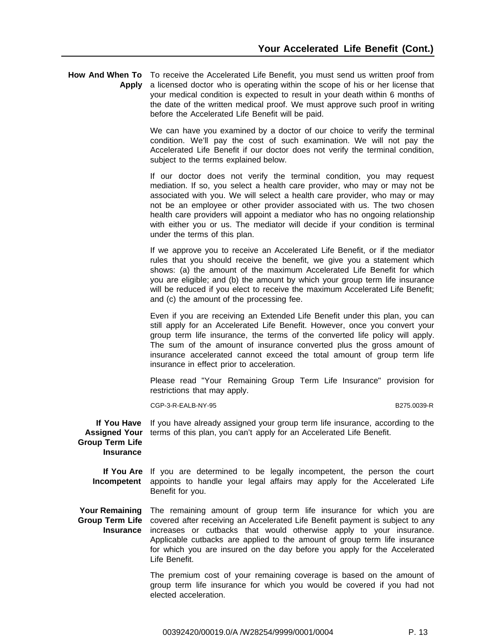**How And When To** To receive the Accelerated Life Benefit, you must send us written proof from **Apply** a licensed doctor who is operating within the scope of his or her license that your medical condition is expected to result in your death within 6 months of the date of the written medical proof. We must approve such proof in writing before the Accelerated Life Benefit will be paid.

> We can have you examined by a doctor of our choice to verify the terminal condition. We'll pay the cost of such examination. We will not pay the Accelerated Life Benefit if our doctor does not verify the terminal condition, subject to the terms explained below.

> If our doctor does not verify the terminal condition, you may request mediation. If so, you select a health care provider, who may or may not be associated with you. We will select a health care provider, who may or may not be an employee or other provider associated with us. The two chosen health care providers will appoint a mediator who has no ongoing relationship with either you or us. The mediator will decide if your condition is terminal under the terms of this plan.

> If we approve you to receive an Accelerated Life Benefit, or if the mediator rules that you should receive the benefit, we give you a statement which shows: (a) the amount of the maximum Accelerated Life Benefit for which you are eligible; and (b) the amount by which your group term life insurance will be reduced if you elect to receive the maximum Accelerated Life Benefit; and (c) the amount of the processing fee.

> Even if you are receiving an Extended Life Benefit under this plan, you can still apply for an Accelerated Life Benefit. However, once you convert your group term life insurance, the terms of the converted life policy will apply. The sum of the amount of insurance converted plus the gross amount of insurance accelerated cannot exceed the total amount of group term life insurance in effect prior to acceleration.

> Please read "Your Remaining Group Term Life Insurance" provision for restrictions that may apply.

> CGP-3-R-EALB-NY-95 B275.0039-R

**If You Have Assigned Your** terms of this plan, you can't apply for an Accelerated Life Benefit. If you have already assigned your group term life insurance, according to the

**Group Term Life Insurance**

> **If You Are** If you are determined to be legally incompetent, the person the court **Incompetent** appoints to handle your legal affairs may apply for the Accelerated Life Benefit for you.

Your Remaining The remaining amount of group term life insurance for which you are **Group Term Life** covered after receiving an Accelerated Life Benefit payment is subject to any **Insurance** increases or cutbacks that would otherwise apply to your insurance. Applicable cutbacks are applied to the amount of group term life insurance for which you are insured on the day before you apply for the Accelerated Life Benefit.

> The premium cost of your remaining coverage is based on the amount of group term life insurance for which you would be covered if you had not elected acceleration.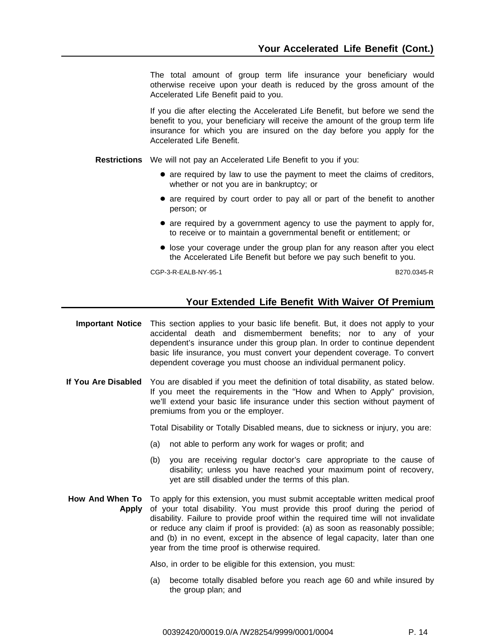The total amount of group term life insurance your beneficiary would otherwise receive upon your death is reduced by the gross amount of the Accelerated Life Benefit paid to you.

If you die after electing the Accelerated Life Benefit, but before we send the benefit to you, your beneficiary will receive the amount of the group term life insurance for which you are insured on the day before you apply for the Accelerated Life Benefit.

**Restrictions** We will not pay an Accelerated Life Benefit to you if you:

- are required by law to use the payment to meet the claims of creditors, whether or not you are in bankruptcy; or
- are required by court order to pay all or part of the benefit to another person; or
- are required by a government agency to use the payment to apply for, to receive or to maintain a governmental benefit or entitlement; or
- lose your coverage under the group plan for any reason after you elect the Accelerated Life Benefit but before we pay such benefit to you.

CGP-3-R-EALB-NY-95-1 B270.0345-R

#### **Your Extended Life Benefit With Waiver Of Premium**

- **Important Notice** This section applies to your basic life benefit. But, it does not apply to your accidental death and dismemberment benefits; nor to any of your dependent's insurance under this group plan. In order to continue dependent basic life insurance, you must convert your dependent coverage. To convert dependent coverage you must choose an individual permanent policy.
- **If You Are Disabled** You are disabled if you meet the definition of total disability, as stated below. If you meet the requirements in the "How and When to Apply" provision, we'll extend your basic life insurance under this section without payment of premiums from you or the employer.

Total Disability or Totally Disabled means, due to sickness or injury, you are:

- (a) not able to perform any work for wages or profit; and
- (b) you are receiving regular doctor's care appropriate to the cause of disability; unless you have reached your maximum point of recovery, yet are still disabled under the terms of this plan.

#### **How And When To** To apply for this extension, you must submit acceptable written medical proof **Apply** of your total disability. You must provide this proof during the period of disability. Failure to provide proof within the required time will not invalidate or reduce any claim if proof is provided: (a) as soon as reasonably possible; and (b) in no event, except in the absence of legal capacity, later than one year from the time proof is otherwise required.

Also, in order to be eligible for this extension, you must:

(a) become totally disabled before you reach age 60 and while insured by the group plan; and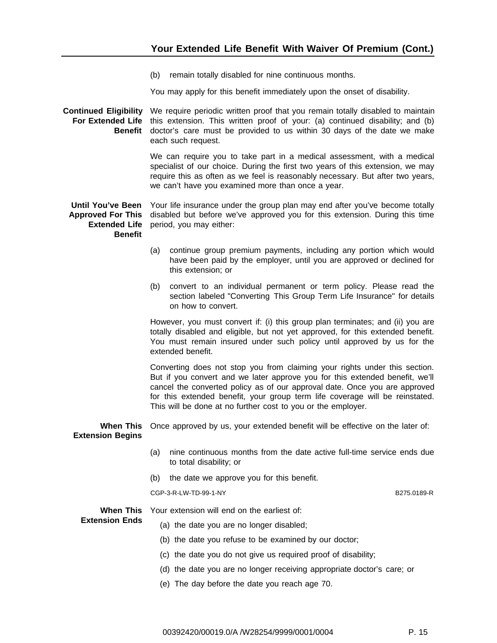(b) remain totally disabled for nine continuous months.

You may apply for this benefit immediately upon the onset of disability.

#### **Continued Eligibility** We require periodic written proof that you remain totally disabled to maintain **For Extended Life** this extension. This written proof of your: (a) continued disability; and (b) **Benefit** doctor's care must be provided to us within 30 days of the date we make each such request.

We can require you to take part in a medical assessment, with a medical specialist of our choice. During the first two years of this extension, we may require this as often as we feel is reasonably necessary. But after two years, we can't have you examined more than once a year.

**Until You've Been** Your life insurance under the group plan may end after you've become totally **Approved For This** disabled but before we've approved you for this extension. During this time **Extended Life** period, you may either: **Benefit**

- (a) continue group premium payments, including any portion which would have been paid by the employer, until you are approved or declined for this extension; or
- (b) convert to an individual permanent or term policy. Please read the section labeled "Converting This Group Term Life Insurance" for details on how to convert.

However, you must convert if: (i) this group plan terminates; and (ii) you are totally disabled and eligible, but not yet approved, for this extended benefit. You must remain insured under such policy until approved by us for the extended benefit.

Converting does not stop you from claiming your rights under this section. But if you convert and we later approve you for this extended benefit, we'll cancel the converted policy as of our approval date. Once you are approved for this extended benefit, your group term life coverage will be reinstated. This will be done at no further cost to you or the employer.

**When This** Once approved by us, your extended benefit will be effective on the later of: **Extension Begins**

- (a) nine continuous months from the date active full-time service ends due to total disability; or
- (b) the date we approve you for this benefit.

CGP-3-R-LW-TD-99-1-NY B275.0189-R

**Extension Ends**

**When This** Your extension will end on the earliest of:

- (a) the date you are no longer disabled;
	- (b) the date you refuse to be examined by our doctor;
	- (c) the date you do not give us required proof of disability;
	- (d) the date you are no longer receiving appropriate doctor's care; or
	- (e) The day before the date you reach age 70.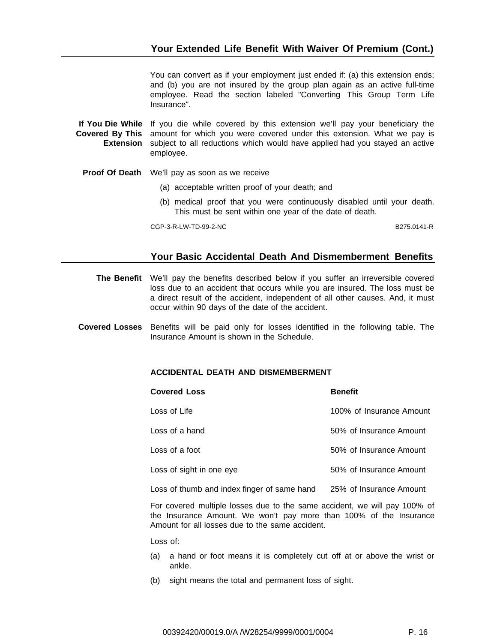You can convert as if your employment just ended if: (a) this extension ends; and (b) you are not insured by the group plan again as an active full-time employee. Read the section labeled "Converting This Group Term Life Insurance".

**If You Die While** If you die while covered by this extension we'll pay your beneficiary the **Covered By This** amount for which you were covered under this extension. What we pay is **Extension** subject to all reductions which would have applied had you stayed an active employee.

**Proof Of Death** We'll pay as soon as we receive

- (a) acceptable written proof of your death; and
- (b) medical proof that you were continuously disabled until your death. This must be sent within one year of the date of death.

CGP-3-R-LW-TD-99-2-NC B275.0141-R

# **Your Basic Accidental Death And Dismemberment Benefits**

**The Benefit** We'll pay the benefits described below if you suffer an irreversible covered loss due to an accident that occurs while you are insured. The loss must be a direct result of the accident, independent of all other causes. And, it must occur within 90 days of the date of the accident.

**Covered Losses** Benefits will be paid only for losses identified in the following table. The Insurance Amount is shown in the Schedule.

#### **ACCIDENTAL DEATH AND DISMEMBERMENT**

| <b>Covered Loss</b>                         | <b>Benefit</b>           |
|---------------------------------------------|--------------------------|
| Loss of Life                                | 100% of Insurance Amount |
| Loss of a hand                              | 50% of Insurance Amount  |
| Loss of a foot                              | 50% of Insurance Amount  |
| Loss of sight in one eye                    | 50% of Insurance Amount  |
| Loss of thumb and index finger of same hand | 25% of Insurance Amount  |

For covered multiple losses due to the same accident, we will pay 100% of the Insurance Amount. We won't pay more than 100% of the Insurance Amount for all losses due to the same accident.

Loss of:

- (a) a hand or foot means it is completely cut off at or above the wrist or ankle.
- (b) sight means the total and permanent loss of sight.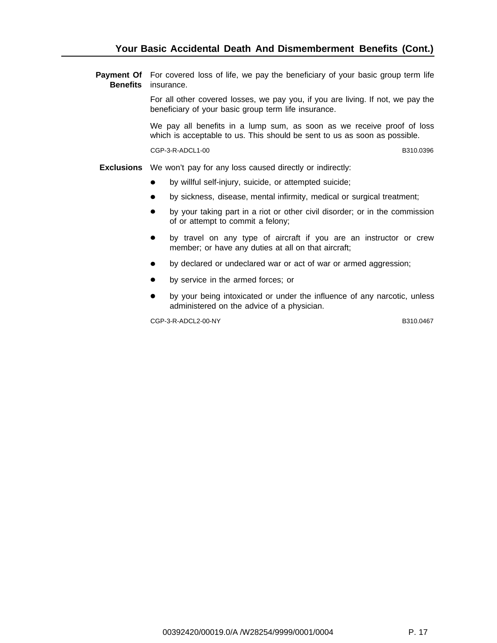**Payment Of** For covered loss of life, we pay the beneficiary of your basic group term life **Benefits** insurance.

> For all other covered losses, we pay you, if you are living. If not, we pay the beneficiary of your basic group term life insurance.

> We pay all benefits in a lump sum, as soon as we receive proof of loss which is acceptable to us. This should be sent to us as soon as possible.

> CGP-3-R-ADCL1-00 B310.0396

**Exclusions** We won't pay for any loss caused directly or indirectly:

- by willful self-injury, suicide, or attempted suicide;
- by sickness, disease, mental infirmity, medical or surgical treatment;  $\bullet$
- $\bullet$ by your taking part in a riot or other civil disorder; or in the commission of or attempt to commit a felony;
- by travel on any type of aircraft if you are an instructor or crew  $\bullet$ member; or have any duties at all on that aircraft;
- by declared or undeclared war or act of war or armed aggression;
- by service in the armed forces; or
- by your being intoxicated or under the influence of any narcotic, unless administered on the advice of a physician.

CGP-3-R-ADCL2-00-NY B310.0467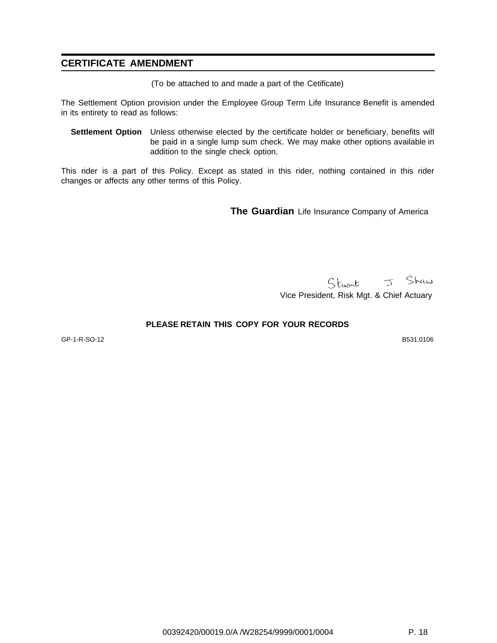# **CERTIFICATE AMENDMENT**

(To be attached to and made a part of the Cetificate)

The Settlement Option provision under the Employee Group Term Life Insurance Benefit is amended in its entirety to read as follows:

**Settlement Option** Unless otherwise elected by the certificate holder or beneficiary, benefits will be paid in a single lump sum check. We may make other options available in addition to the single check option.

This rider is a part of this Policy. Except as stated in this rider, nothing contained in this rider changes or affects any other terms of this Policy.

**The Guardian** Life Insurance Company of America

Stuart J Shaw

Vice President, Risk Mgt. & Chief Actuary

#### **PLEASE RETAIN THIS COPY FOR YOUR RECORDS**

GP-1-R-SO-12 B531.0106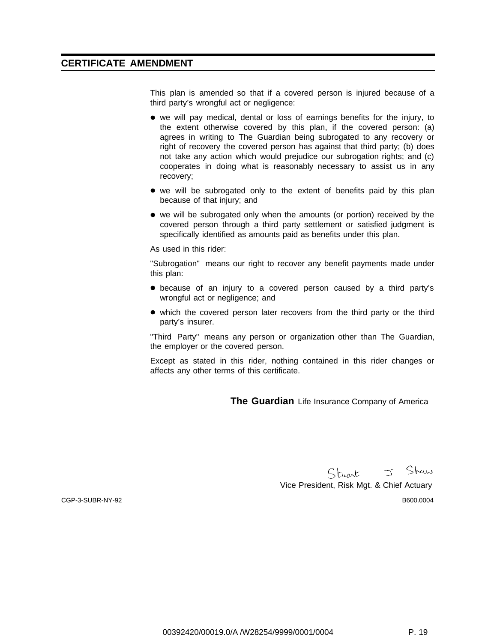# **CERTIFICATE AMENDMENT**

This plan is amended so that if a covered person is injured because of a third party's wrongful act or negligence:

- we will pay medical, dental or loss of earnings benefits for the injury, to the extent otherwise covered by this plan, if the covered person: (a) agrees in writing to The Guardian being subrogated to any recovery or right of recovery the covered person has against that third party; (b) does not take any action which would prejudice our subrogation rights; and (c) cooperates in doing what is reasonably necessary to assist us in any recovery;
- we will be subrogated only to the extent of benefits paid by this plan because of that injury; and
- we will be subrogated only when the amounts (or portion) received by the covered person through a third party settlement or satisfied judgment is specifically identified as amounts paid as benefits under this plan.

As used in this rider:

"Subrogation" means our right to recover any benefit payments made under this plan:

- because of an injury to a covered person caused by a third party's wrongful act or negligence; and
- which the covered person later recovers from the third party or the third party's insurer.

"Third Party" means any person or organization other than The Guardian, the employer or the covered person.

Except as stated in this rider, nothing contained in this rider changes or affects any other terms of this certificate.

**The Guardian** Life Insurance Company of America

Stuart J Shaw

Vice President, Risk Mgt. & Chief Actuary CGP-3-SUBR-NY-92 B600.0004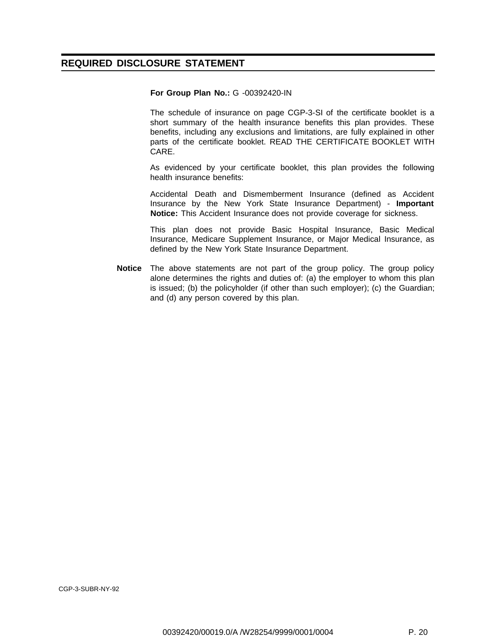# **REQUIRED DISCLOSURE STATEMENT**

#### **For Group Plan No.:** G -00392420-IN

The schedule of insurance on page CGP-3-SI of the certificate booklet is a short summary of the health insurance benefits this plan provides. These benefits, including any exclusions and limitations, are fully explained in other parts of the certificate booklet. READ THE CERTIFICATE BOOKLET WITH CARE.

As evidenced by your certificate booklet, this plan provides the following health insurance benefits:

Accidental Death and Dismemberment Insurance (defined as Accident Insurance by the New York State Insurance Department) - **Important Notice:** This Accident Insurance does not provide coverage for sickness.

This plan does not provide Basic Hospital Insurance, Basic Medical Insurance, Medicare Supplement Insurance, or Major Medical Insurance, as defined by the New York State Insurance Department.

**Notice** The above statements are not part of the group policy. The group policy alone determines the rights and duties of: (a) the employer to whom this plan is issued; (b) the policyholder (if other than such employer); (c) the Guardian; and (d) any person covered by this plan.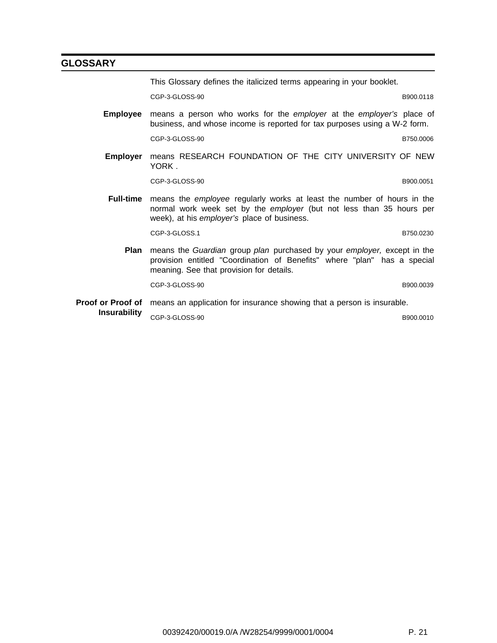# **GLOSSARY**

This Glossary defines the italicized terms appearing in your booklet.

CGP-3-GLOSS-90 B900.0118

**Employee** means a person who works for the employer at the employer's place of business, and whose income is reported for tax purposes using a W-2 form.

CGP-3-GLOSS-90 B750.0006

**Employer** means RESEARCH FOUNDATION OF THE CITY UNIVERSITY OF NEW YORK .

CGP-3-GLOSS-90 B900.0051

**Full-time** means the employee regularly works at least the number of hours in the normal work week set by the employer (but not less than 35 hours per week), at his employer's place of business.

CGP-3-GLOSS.1 B750.0230

- 
- **Plan** means the Guardian group plan purchased by your employer, except in the provision entitled "Coordination of Benefits" where "plan" has a special meaning. See that provision for details.

CGP-3-GLOSS-90 B900.0039

**Proof or Proof of** means an application for insurance showing that a person is insurable. **Insurability** CGP-3-GLOSS-90 B900.0010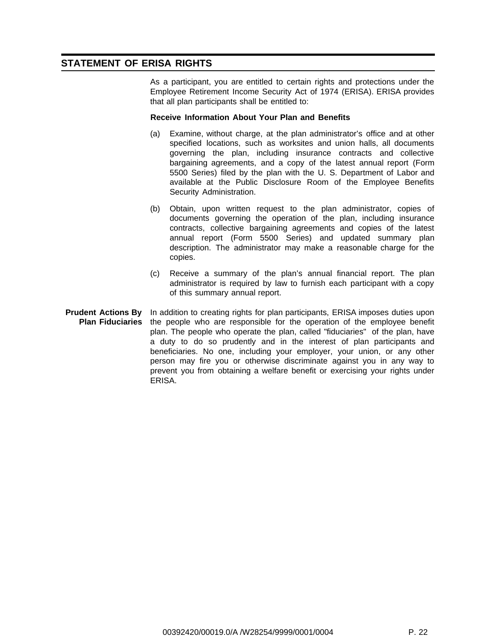# **STATEMENT OF ERISA RIGHTS**

As a participant, you are entitled to certain rights and protections under the Employee Retirement Income Security Act of 1974 (ERISA). ERISA provides that all plan participants shall be entitled to:

#### **Receive Information About Your Plan and Benefits**

- (a) Examine, without charge, at the plan administrator's office and at other specified locations, such as worksites and union halls, all documents governing the plan, including insurance contracts and collective bargaining agreements, and a copy of the latest annual report (Form 5500 Series) filed by the plan with the U. S. Department of Labor and available at the Public Disclosure Room of the Employee Benefits Security Administration.
- (b) Obtain, upon written request to the plan administrator, copies of documents governing the operation of the plan, including insurance contracts, collective bargaining agreements and copies of the latest annual report (Form 5500 Series) and updated summary plan description. The administrator may make a reasonable charge for the copies.
- (c) Receive a summary of the plan's annual financial report. The plan administrator is required by law to furnish each participant with a copy of this summary annual report.
- **Prudent Actions By Plan Fiduciaries** In addition to creating rights for plan participants, ERISA imposes duties upon the people who are responsible for the operation of the employee benefit plan. The people who operate the plan, called "fiduciaries" of the plan, have a duty to do so prudently and in the interest of plan participants and beneficiaries. No one, including your employer, your union, or any other person may fire you or otherwise discriminate against you in any way to prevent you from obtaining a welfare benefit or exercising your rights under ERISA.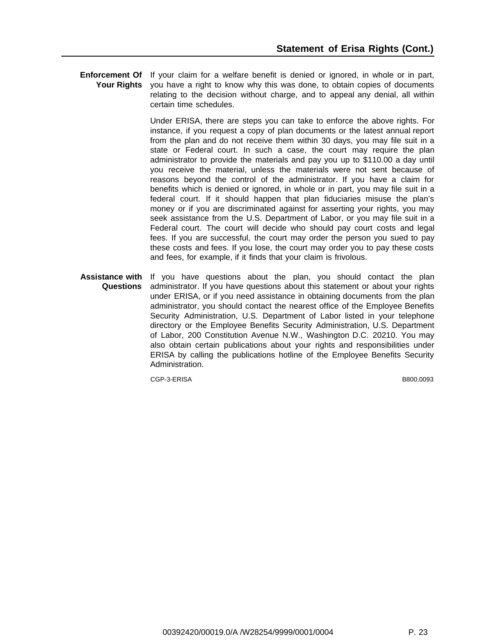**Enforcement Of** If your claim for a welfare benefit is denied or ignored, in whole or in part, **Your Rights** you have a right to know why this was done, to obtain copies of documents relating to the decision without charge, and to appeal any denial, all within certain time schedules.

> Under ERISA, there are steps you can take to enforce the above rights. For instance, if you request a copy of plan documents or the latest annual report from the plan and do not receive them within 30 days, you may file suit in a state or Federal court. In such a case, the court may require the plan administrator to provide the materials and pay you up to \$110.00 a day until you receive the material, unless the materials were not sent because of reasons beyond the control of the administrator. If you have a claim for benefits which is denied or ignored, in whole or in part, you may file suit in a federal court. If it should happen that plan fiduciaries misuse the plan's money or if you are discriminated against for asserting your rights, you may seek assistance from the U.S. Department of Labor, or you may file suit in a Federal court. The court will decide who should pay court costs and legal fees. If you are successful, the court may order the person you sued to pay these costs and fees. If you lose, the court may order you to pay these costs and fees, for example, if it finds that your claim is frivolous.

**Assistance with** If you have questions about the plan, you should contact the plan **Questions** administrator. If you have questions about this statement or about your rights under ERISA, or if you need assistance in obtaining documents from the plan administrator, you should contact the nearest office of the Employee Benefits Security Administration, U.S. Department of Labor listed in your telephone directory or the Employee Benefits Security Administration, U.S. Department of Labor, 200 Constitution Avenue N.W., Washington D.C. 20210. You may also obtain certain publications about your rights and responsibilities under ERISA by calling the publications hotline of the Employee Benefits Security Administration.

CGP-3-ERISA B800.0093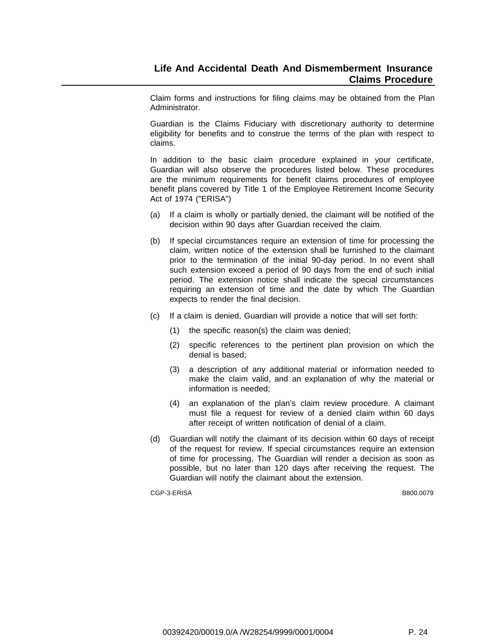Claim forms and instructions for filing claims may be obtained from the Plan Administrator.

Guardian is the Claims Fiduciary with discretionary authority to determine eligibility for benefits and to construe the terms of the plan with respect to claims.

In addition to the basic claim procedure explained in your certificate, Guardian will also observe the procedures listed below. These procedures are the minimum requirements for benefit claims procedures of employee benefit plans covered by Title 1 of the Employee Retirement Income Security Act of 1974 ("ERISA")

- (a) If a claim is wholly or partially denied, the claimant will be notified of the decision within 90 days after Guardian received the claim.
- (b) If special circumstances require an extension of time for processing the claim, written notice of the extension shall be furnished to the claimant prior to the termination of the initial 90-day period. In no event shall such extension exceed a period of 90 days from the end of such initial period. The extension notice shall indicate the special circumstances requiring an extension of time and the date by which The Guardian expects to render the final decision.
- (c) If a claim is denied, Guardian will provide a notice that will set forth:
	- (1) the specific reason(s) the claim was denied;
	- (2) specific references to the pertinent plan provision on which the denial is based;
	- (3) a description of any additional material or information needed to make the claim valid, and an explanation of why the material or information is needed;
	- (4) an explanation of the plan's claim review procedure. A claimant must file a request for review of a denied claim within 60 days after receipt of written notification of denial of a claim.
- (d) Guardian will notify the claimant of its decision within 60 days of receipt of the request for review. If special circumstances require an extension of time for processing, The Guardian will render a decision as soon as possible, but no later than 120 days after receiving the request. The Guardian will notify the claimant about the extension.

CGP-3-ERISA B800.0079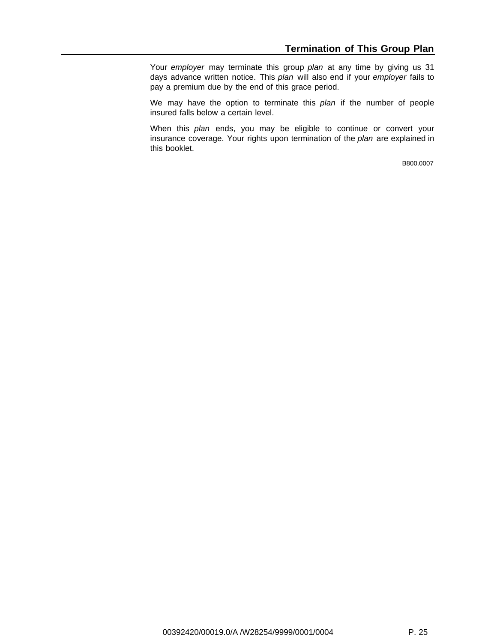Your employer may terminate this group plan at any time by giving us 31 days advance written notice. This plan will also end if your employer fails to pay a premium due by the end of this grace period.

We may have the option to terminate this plan if the number of people insured falls below a certain level.

When this plan ends, you may be eligible to continue or convert your insurance coverage. Your rights upon termination of the plan are explained in this booklet.

B800.0007